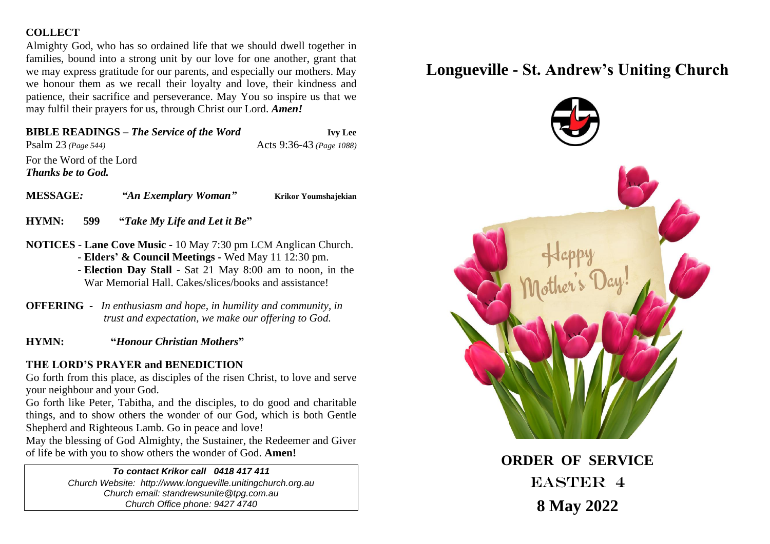## **COLLECT**

Almighty God, who has so ordained life that we should dwell together in families, bound into a strong unit by our love for one another, grant that we may express gratitude for our parents, and especially our mothers. May we honour them as we recall their loyalty and love, their kindness and patience, their sacrifice and perseverance. May You so inspire us that we may fulfil their prayers for us, through Christ our Lord. *Amen!*

# **BIBLE READINGS –** *The Service of the Word* **Ivy Lee**

Psalm 23 *(Page 544)* Acts 9:36-43 *(Page 1088)* For the Word of the Lord *Thanks be to God.*

**MESSAGE***: "An Exemplary Woman"* **Krikor Youmshajekian**

**HYMN: 599 "***Take My Life and Let it Be***"** 

- **NOTICES Lane Cove Music -** 10 May 7:30 pm LCM Anglican Church. - **Elders' & Council Meetings -** Wed May 11 12:30 pm. - **Election Day Stall** - Sat 21 May 8:00 am to noon, in the War Memorial Hall. Cakes/slices/books and assistance!
- **OFFERING** *In enthusiasm and hope, in humility and community, in trust and expectation, we make our offering to God.*
- **HYMN: "***Honour Christian Mothers***"**

# **THE LORD'S PRAYER and BENEDICTION**

Go forth from this place, as disciples of the risen Christ, to love and serve your neighbour and your God.

Go forth like Peter, Tabitha, and the disciples, to do good and charitable things, and to show others the wonder of our God, which is both Gentle Shepherd and Righteous Lamb. Go in peace and love!

May the blessing of God Almighty, the Sustainer, the Redeemer and Giver of life be with you to show others the wonder of God. **Amen!**

## *To contact Krikor call 0418 417 411*

*Church Website: http://www.longueville.unitingchurch.org.au Church email: standrewsunite@tpg.com.au Church Office phone: 9427 4740*

# **Longueville - St. Andrew's Uniting Church**



EASTER 4 **8 May 2022**